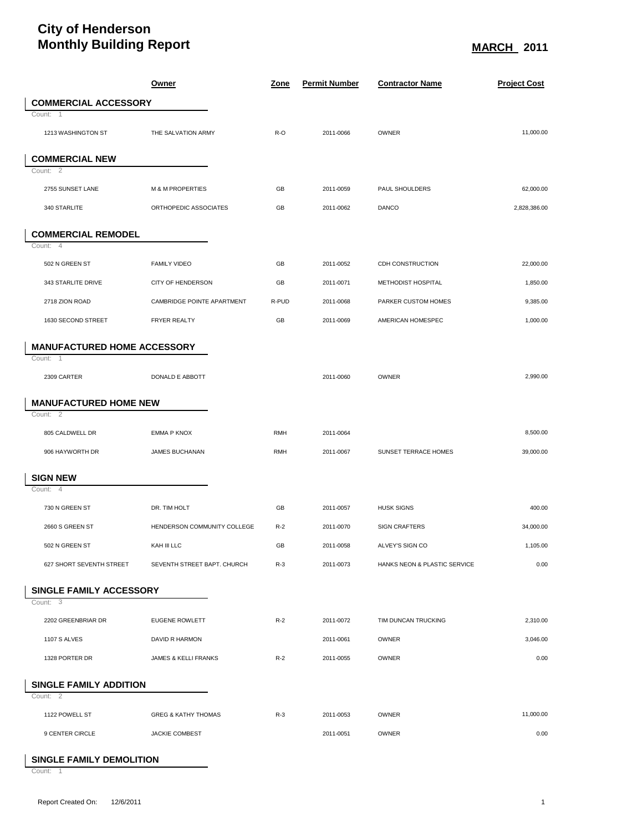## **City of Henderson Monthly Building Report MARCH MARCH MARCH MARCH 2011**

|                                           | <u>Owner</u>                   | <u>Zone</u> | <b>Permit Number</b> | <b>Contractor Name</b>       | <b>Project Cost</b> |
|-------------------------------------------|--------------------------------|-------------|----------------------|------------------------------|---------------------|
| <b>COMMERCIAL ACCESSORY</b>               |                                |             |                      |                              |                     |
| Count: 1                                  |                                |             |                      |                              |                     |
| 1213 WASHINGTON ST                        | THE SALVATION ARMY             | R-O         | 2011-0066            | OWNER                        | 11,000.00           |
| <b>COMMERCIAL NEW</b>                     |                                |             |                      |                              |                     |
| Count: 2                                  |                                |             |                      |                              |                     |
| 2755 SUNSET LANE                          | <b>M &amp; M PROPERTIES</b>    | GB          | 2011-0059            | PAUL SHOULDERS               | 62,000.00           |
| 340 STARLITE                              | ORTHOPEDIC ASSOCIATES          | GB          | 2011-0062            | <b>DANCO</b>                 | 2,828,386.00        |
| <b>COMMERCIAL REMODEL</b>                 |                                |             |                      |                              |                     |
| Count: 4                                  |                                |             |                      |                              |                     |
| 502 N GREEN ST                            | <b>FAMILY VIDEO</b>            | GB          | 2011-0052            | CDH CONSTRUCTION             | 22,000.00           |
| 343 STARLITE DRIVE                        | CITY OF HENDERSON              | GB          | 2011-0071            | METHODIST HOSPITAL           | 1,850.00            |
| 2718 ZION ROAD                            | CAMBRIDGE POINTE APARTMENT     | R-PUD       | 2011-0068            | PARKER CUSTOM HOMES          | 9,385.00            |
| 1630 SECOND STREET                        | FRYER REALTY                   | GB          | 2011-0069            | AMERICAN HOMESPEC            | 1,000.00            |
| <b>MANUFACTURED HOME ACCESSORY</b>        |                                |             |                      |                              |                     |
| Count: 1                                  |                                |             |                      |                              |                     |
| 2309 CARTER                               | DONALD E ABBOTT                |             | 2011-0060            | OWNER                        | 2,990.00            |
| <b>MANUFACTURED HOME NEW</b><br>Count: 2  |                                |             |                      |                              |                     |
|                                           |                                |             |                      |                              |                     |
| 805 CALDWELL DR                           | <b>EMMA P KNOX</b>             | <b>RMH</b>  | 2011-0064            |                              | 8,500.00            |
| 906 HAYWORTH DR                           | JAMES BUCHANAN                 | <b>RMH</b>  | 2011-0067            | SUNSET TERRACE HOMES         | 39,000.00           |
| <b>SIGN NEW</b>                           |                                |             |                      |                              |                     |
| Count: 4                                  |                                |             |                      |                              |                     |
| 730 N GREEN ST                            | DR. TIM HOLT                   | GB          | 2011-0057            | <b>HUSK SIGNS</b>            | 400.00              |
| 2660 S GREEN ST                           | HENDERSON COMMUNITY COLLEGE    | $R-2$       | 2011-0070            | <b>SIGN CRAFTERS</b>         | 34,000.00           |
| 502 N GREEN ST                            | KAH III LLC                    | GB          | 2011-0058            | ALVEY'S SIGN CO              | 1,105.00            |
| 627 SHORT SEVENTH STREET                  | SEVENTH STREET BAPT. CHURCH    | $R-3$       | 2011-0073            | HANKS NEON & PLASTIC SERVICE | 0.00                |
| <b>SINGLE FAMILY ACCESSORY</b>            |                                |             |                      |                              |                     |
| Count: 3                                  |                                |             |                      |                              |                     |
| 2202 GREENBRIAR DR                        | <b>EUGENE ROWLETT</b>          | $R-2$       | 2011-0072            | TIM DUNCAN TRUCKING          | 2,310.00            |
| <b>1107 S ALVES</b>                       | DAVID R HARMON                 |             | 2011-0061            | OWNER                        | 3,046.00            |
| 1328 PORTER DR                            | JAMES & KELLI FRANKS           | $R-2$       | 2011-0055            | <b>OWNER</b>                 | 0.00                |
| <b>SINGLE FAMILY ADDITION</b><br>Count: 2 |                                |             |                      |                              |                     |
| 1122 POWELL ST                            | <b>GREG &amp; KATHY THOMAS</b> | $R-3$       | 2011-0053            | OWNER                        | 11,000.00           |
| 9 CENTER CIRCLE                           | <b>JACKIE COMBEST</b>          |             | 2011-0051            | <b>OWNER</b>                 | 0.00                |
|                                           |                                |             |                      |                              |                     |

## **SINGLE FAMILY DEMOLITION**

Count: 1